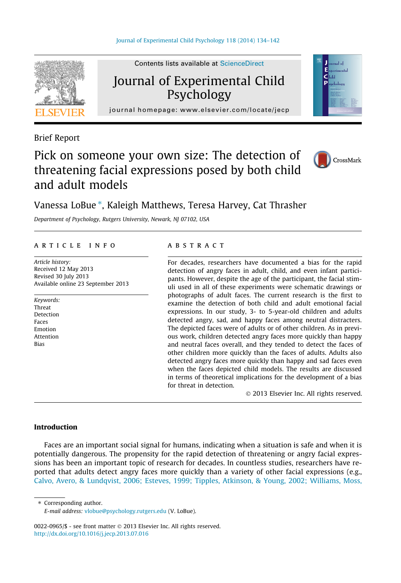

Contents lists available at [ScienceDirect](http://www.sciencedirect.com/science/journal/00220965)

# Journal of Experimental Child Psychology

journal homepage: [www.elsevier.com/locate/jecp](http://www.elsevier.com/locate/jecp)

Brief Report

# Pick on someone your own size: The detection of threatening facial expressions posed by both child and adult models



E أحاديث وتناسب  $C<sub>ball</sub>$ Þ

# Vanessa LoBue \*, Kaleigh Matthews, Teresa Harvey, Cat Thrasher

Department of Psychology, Rutgers University, Newark, NJ 07102, USA

### article info

Article history: Received 12 May 2013 Revised 30 July 2013 Available online 23 September 2013

Keywords: Threat Detection Faces Emotion Attention Bias

# **ABSTRACT**

For decades, researchers have documented a bias for the rapid detection of angry faces in adult, child, and even infant participants. However, despite the age of the participant, the facial stimuli used in all of these experiments were schematic drawings or photographs of adult faces. The current research is the first to examine the detection of both child and adult emotional facial expressions. In our study, 3- to 5-year-old children and adults detected angry, sad, and happy faces among neutral distracters. The depicted faces were of adults or of other children. As in previous work, children detected angry faces more quickly than happy and neutral faces overall, and they tended to detect the faces of other children more quickly than the faces of adults. Adults also detected angry faces more quickly than happy and sad faces even when the faces depicted child models. The results are discussed in terms of theoretical implications for the development of a bias for threat in detection.

- 2013 Elsevier Inc. All rights reserved.

# Introduction

Faces are an important social signal for humans, indicating when a situation is safe and when it is potentially dangerous. The propensity for the rapid detection of threatening or angry facial expressions has been an important topic of research for decades. In countless studies, researchers have reported that adults detect angry faces more quickly than a variety of other facial expressions (e.g., [Calvo, Avero, & Lundqvist, 2006; Esteves, 1999; Tipples, Atkinson, & Young, 2002; Williams, Moss,](#page-7-0)

⇑ Corresponding author.

0022-0965/\$ - see front matter © 2013 Elsevier Inc. All rights reserved. <http://dx.doi.org/10.1016/j.jecp.2013.07.016>

E-mail address: [vlobue@psychology.rutgers.edu](mailto:vlobue@psychology.rutgers.edu) (V. LoBue).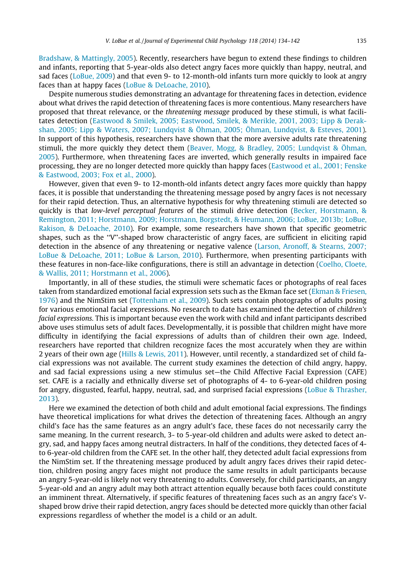[Bradshaw, & Mattingly, 2005\)](#page-7-0). Recently, researchers have begun to extend these findings to children and infants, reporting that 5-year-olds also detect angry faces more quickly than happy, neutral, and sad faces [\(LoBue, 2009](#page-7-0)) and that even 9- to 12-month-old infants turn more quickly to look at angry faces than at happy faces [\(LoBue & DeLoache, 2010\)](#page-8-0).

Despite numerous studies demonstrating an advantage for threatening faces in detection, evidence about what drives the rapid detection of threatening faces is more contentious. Many researchers have proposed that threat relevance, or the threatening message produced by these stimuli, is what facilitates detection [\(Eastwood & Smilek, 2005; Eastwood, Smilek, & Merikle, 2001, 2003; Lipp & Derak](#page-7-0)[shan, 2005; Lipp & Waters, 2007; Lundqvist & Öhman, 2005; Öhman, Lundqvist, & Esteves, 2001\)](#page-7-0). In support of this hypothesis, researchers have shown that the more aversive adults rate threatening stimuli, the more quickly they detect them ([Beaver, Mogg, & Bradley, 2005; Lundqvist & Öhman,](#page-7-0) [2005](#page-7-0)). Furthermore, when threatening faces are inverted, which generally results in impaired face processing, they are no longer detected more quickly than happy faces ([Eastwood et al., 2001; Fenske](#page-7-0) [& Eastwood, 2003; Fox et al., 2000](#page-7-0)).

However, given that even 9- to 12-month-old infants detect angry faces more quickly than happy faces, it is possible that understanding the threatening message posed by angry faces is not necessary for their rapid detection. Thus, an alternative hypothesis for why threatening stimuli are detected so quickly is that low-level perceptual features of the stimuli drive detection ([Becker, Horstmann, &](#page-7-0) [Remington, 2011; Horstmann, 2009; Horstmann, Borgstedt, & Heumann, 2006; LoBue, 2013b; LoBue,](#page-7-0) [Rakison, & DeLoache, 2010\)](#page-7-0). For example, some researchers have shown that specific geometric shapes, such as the ''V''-shaped brow characteristic of angry faces, are sufficient in eliciting rapid detection in the absence of any threatening or negative valence ([Larson, Aronoff, & Stearns, 2007;](#page-7-0) [LoBue & DeLoache, 2011; LoBue & Larson, 2010](#page-7-0)). Furthermore, when presenting participants with these features in non-face-like configurations, there is still an advantage in detection [\(Coelho, Cloete,](#page-7-0) [& Wallis, 2011; Horstmann et al., 2006\)](#page-7-0).

Importantly, in all of these studies, the stimuli were schematic faces or photographs of real faces taken from standardized emotional facial expression sets such as the Ekman face set ([Ekman & Friesen,](#page-7-0) [1976](#page-7-0)) and the NimStim set [\(Tottenham et al., 2009](#page-8-0)). Such sets contain photographs of adults posing for various emotional facial expressions. No research to date has examined the detection of children's facial expressions. This is important because even the work with child and infant participants described above uses stimulus sets of adult faces. Developmentally, it is possible that children might have more difficulty in identifying the facial expressions of adults than of children their own age. Indeed, researchers have reported that children recognize faces the most accurately when they are within 2 years of their own age [\(Hills & Lewis, 2011\)](#page-7-0). However, until recently, a standardized set of child facial expressions was not available. The current study examines the detection of child angry, happy, and sad facial expressions using a new stimulus set—the Child Affective Facial Expression (CAFE) set. CAFE is a racially and ethnically diverse set of photographs of 4- to 6-year-old children posing for angry, disgusted, fearful, happy, neutral, sad, and surprised facial expressions ([LoBue & Thrasher,](#page-8-0) [2013](#page-8-0)).

Here we examined the detection of both child and adult emotional facial expressions. The findings have theoretical implications for what drives the detection of threatening faces. Although an angry child's face has the same features as an angry adult's face, these faces do not necessarily carry the same meaning. In the current research, 3- to 5-year-old children and adults were asked to detect angry, sad, and happy faces among neutral distracters. In half of the conditions, they detected faces of 4 to 6-year-old children from the CAFE set. In the other half, they detected adult facial expressions from the NimStim set. If the threatening message produced by adult angry faces drives their rapid detection, children posing angry faces might not produce the same results in adult participants because an angry 5-year-old is likely not very threatening to adults. Conversely, for child participants, an angry 5-year-old and an angry adult may both attract attention equally because both faces could constitute an imminent threat. Alternatively, if specific features of threatening faces such as an angry face's Vshaped brow drive their rapid detection, angry faces should be detected more quickly than other facial expressions regardless of whether the model is a child or an adult.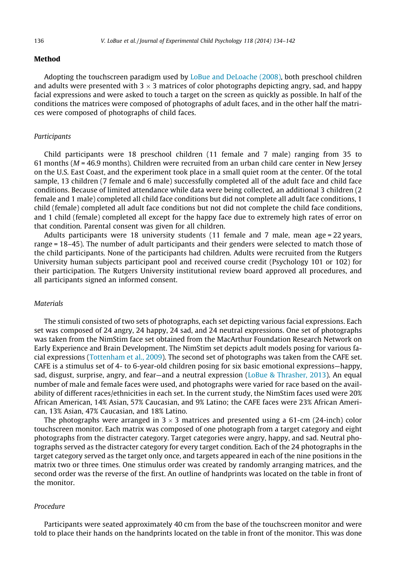#### Method

Adopting the touchscreen paradigm used by [LoBue and DeLoache \(2008\),](#page-8-0) both preschool children and adults were presented with 3  $\times$  3 matrices of color photographs depicting angry, sad, and happy facial expressions and were asked to touch a target on the screen as quickly as possible. In half of the conditions the matrices were composed of photographs of adult faces, and in the other half the matrices were composed of photographs of child faces.

#### **Participants**

Child participants were 18 preschool children (11 female and 7 male) ranging from 35 to 61 months ( $M = 46.9$  months). Children were recruited from an urban child care center in New Jersey on the U.S. East Coast, and the experiment took place in a small quiet room at the center. Of the total sample, 13 children (7 female and 6 male) successfully completed all of the adult face and child face conditions. Because of limited attendance while data were being collected, an additional 3 children (2 female and 1 male) completed all child face conditions but did not complete all adult face conditions, 1 child (female) completed all adult face conditions but not did not complete the child face conditions, and 1 child (female) completed all except for the happy face due to extremely high rates of error on that condition. Parental consent was given for all children.

Adults participants were 18 university students (11 female and 7 male, mean age = 22 years, range = 18–45). The number of adult participants and their genders were selected to match those of the child participants. None of the participants had children. Adults were recruited from the Rutgers University human subjects participant pool and received course credit (Psychology 101 or 102) for their participation. The Rutgers University institutional review board approved all procedures, and all participants signed an informed consent.

#### **Materials**

The stimuli consisted of two sets of photographs, each set depicting various facial expressions. Each set was composed of 24 angry, 24 happy, 24 sad, and 24 neutral expressions. One set of photographs was taken from the NimStim face set obtained from the MacArthur Foundation Research Network on Early Experience and Brain Development. The NimStim set depicts adult models posing for various facial expressions ([Tottenham et al., 2009](#page-8-0)). The second set of photographs was taken from the CAFE set. CAFE is a stimulus set of 4- to 6-year-old children posing for six basic emotional expressions—happy, sad, disgust, surprise, angry, and fear—and a neutral expression [\(LoBue & Thrasher, 2013\)](#page-8-0). An equal number of male and female faces were used, and photographs were varied for race based on the availability of different races/ethnicities in each set. In the current study, the NimStim faces used were 20% African American, 14% Asian, 57% Caucasian, and 9% Latino; the CAFE faces were 23% African American, 13% Asian, 47% Caucasian, and 18% Latino.

The photographs were arranged in  $3 \times 3$  matrices and presented using a 61-cm (24-inch) color touchscreen monitor. Each matrix was composed of one photograph from a target category and eight photographs from the distracter category. Target categories were angry, happy, and sad. Neutral photographs served as the distracter category for every target condition. Each of the 24 photographs in the target category served as the target only once, and targets appeared in each of the nine positions in the matrix two or three times. One stimulus order was created by randomly arranging matrices, and the second order was the reverse of the first. An outline of handprints was located on the table in front of the monitor.

#### Procedure

Participants were seated approximately 40 cm from the base of the touchscreen monitor and were told to place their hands on the handprints located on the table in front of the monitor. This was done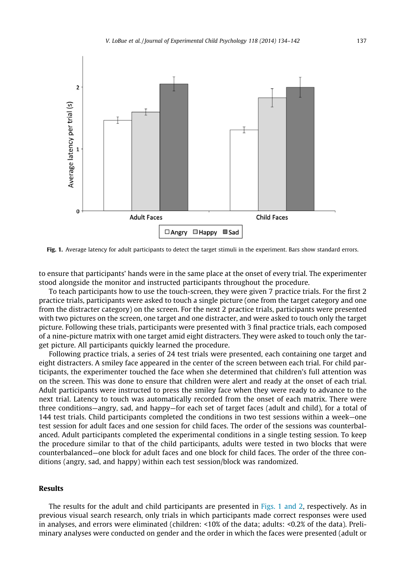<span id="page-3-0"></span>

Fig. 1. Average latency for adult participants to detect the target stimuli in the experiment. Bars show standard errors.

to ensure that participants' hands were in the same place at the onset of every trial. The experimenter stood alongside the monitor and instructed participants throughout the procedure.

To teach participants how to use the touch-screen, they were given 7 practice trials. For the first 2 practice trials, participants were asked to touch a single picture (one from the target category and one from the distracter category) on the screen. For the next 2 practice trials, participants were presented with two pictures on the screen, one target and one distracter, and were asked to touch only the target picture. Following these trials, participants were presented with 3 final practice trials, each composed of a nine-picture matrix with one target amid eight distracters. They were asked to touch only the target picture. All participants quickly learned the procedure.

Following practice trials, a series of 24 test trials were presented, each containing one target and eight distracters. A smiley face appeared in the center of the screen between each trial. For child participants, the experimenter touched the face when she determined that children's full attention was on the screen. This was done to ensure that children were alert and ready at the onset of each trial. Adult participants were instructed to press the smiley face when they were ready to advance to the next trial. Latency to touch was automatically recorded from the onset of each matrix. There were three conditions—angry, sad, and happy—for each set of target faces (adult and child), for a total of 144 test trials. Child participants completed the conditions in two test sessions within a week—one test session for adult faces and one session for child faces. The order of the sessions was counterbalanced. Adult participants completed the experimental conditions in a single testing session. To keep the procedure similar to that of the child participants, adults were tested in two blocks that were counterbalanced—one block for adult faces and one block for child faces. The order of the three conditions (angry, sad, and happy) within each test session/block was randomized.

### Results

The results for the adult and child participants are presented in Figs. 1 and 2, respectively. As in previous visual search research, only trials in which participants made correct responses were used in analyses, and errors were eliminated (children: <10% of the data; adults: <0.2% of the data). Preliminary analyses were conducted on gender and the order in which the faces were presented (adult or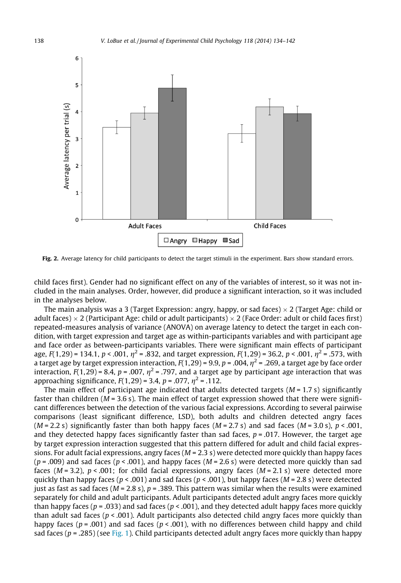<span id="page-4-0"></span>

Fig. 2. Average latency for child participants to detect the target stimuli in the experiment. Bars show standard errors.

child faces first). Gender had no significant effect on any of the variables of interest, so it was not included in the main analyses. Order, however, did produce a significant interaction, so it was included in the analyses below.

The main analysis was a 3 (Target Expression: angry, happy, or sad faces)  $\times$  2 (Target Age: child or adult faces)  $\times$  2 (Participant Age: child or adult participants)  $\times$  2 (Face Order: adult or child faces first) repeated-measures analysis of variance (ANOVA) on average latency to detect the target in each condition, with target expression and target age as within-participants variables and with participant age and face order as between-participants variables. There were significant main effects of participant age,  $F(1,29) = 134.1$ ,  $p < .001$ ,  $\eta^2 = .832$ , and target expression,  $F(1,29) = 36.2$ ,  $p < .001$ ,  $\eta^2 = .573$ , with a target age by target expression interaction,  $F(1,29) = 9.9$ ,  $p = .004$ ,  $n^2 = .269$ , a target age by face order interaction,  $F(1,29) = 8.4$ ,  $p = .007$ ,  $n^2 = .797$ , and a target age by participant age interaction that was approaching significance,  $F(1,29) = 3.4$ ,  $p = .077$ ,  $\eta^2 = .112$ .

The main effect of participant age indicated that adults detected targets  $(M = 1.7 s)$  significantly faster than children ( $M = 3.6$  s). The main effect of target expression showed that there were significant differences between the detection of the various facial expressions. According to several pairwise comparisons (least significant difference, LSD), both adults and children detected angry faces  $(M = 2.2 \text{ s})$  significantly faster than both happy faces  $(M = 2.7 \text{ s})$  and sad faces  $(M = 3.0 \text{ s})$ ,  $p < .001$ , and they detected happy faces significantly faster than sad faces,  $p = .017$ . However, the target age by target expression interaction suggested that this pattern differed for adult and child facial expressions. For adult facial expressions, angry faces  $(M = 2.3 \text{ s})$  were detected more quickly than happy faces  $(p = .009)$  and sad faces  $(p < .001)$ , and happy faces  $(M = 2.6 s)$  were detected more quickly than sad faces ( $M = 3.2$ ),  $p < .001$ ; for child facial expressions, angry faces ( $M = 2.1$  s) were detected more quickly than happy faces ( $p < .001$ ) and sad faces ( $p < .001$ ), but happy faces ( $M = 2.8$  s) were detected just as fast as sad faces ( $M = 2.8$  s),  $p = .389$ . This pattern was similar when the results were examined separately for child and adult participants. Adult participants detected adult angry faces more quickly than happy faces ( $p = .033$ ) and sad faces ( $p < .001$ ), and they detected adult happy faces more quickly than adult sad faces ( $p < .001$ ). Adult participants also detected child angry faces more quickly than happy faces ( $p = .001$ ) and sad faces ( $p < .001$ ), with no differences between child happy and child sad faces ( $p = .285$ ) (see [Fig. 1\)](#page-3-0). Child participants detected adult angry faces more quickly than happy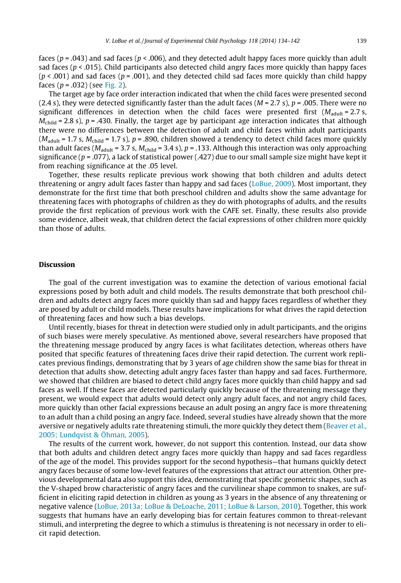faces ( $p = .043$ ) and sad faces ( $p < .006$ ), and they detected adult happy faces more quickly than adult sad faces ( $p < .015$ ). Child participants also detected child angry faces more quickly than happy faces  $(p < .001)$  and sad faces ( $p = .001$ ), and they detected child sad faces more quickly than child happy faces  $(p = .032)$  (see [Fig. 2\)](#page-4-0).

The target age by face order interaction indicated that when the child faces were presented second (2.4 s), they were detected significantly faster than the adult faces ( $M = 2.7$  s),  $p = .005$ . There were no significant differences in detection when the child faces were presented first ( $M_{\text{adult}} = 2.7$  s,  $M_{\text{child}}$  = 2.8 s), p = .430. Finally, the target age by participant age interaction indicates that although there were no differences between the detection of adult and child faces within adult participants  $(M_{\text{adult}} = 1.7 \text{ s}, M_{\text{child}} = 1.7 \text{ s}), p = .890$ , children showed a tendency to detect child faces more quickly than adult faces ( $M_{\text{adult}}$  = 3.7 s,  $M_{\text{child}}$  = 3.4 s), p = .133. Although this interaction was only approaching significance ( $p = 0.077$ ), a lack of statistical power (.427) due to our small sample size might have kept it from reaching significance at the .05 level.

Together, these results replicate previous work showing that both children and adults detect threatening or angry adult faces faster than happy and sad faces [\(LoBue, 2009](#page-7-0)). Most important, they demonstrate for the first time that both preschool children and adults show the same advantage for threatening faces with photographs of children as they do with photographs of adults, and the results provide the first replication of previous work with the CAFE set. Finally, these results also provide some evidence, albeit weak, that children detect the facial expressions of other children more quickly than those of adults.

#### Discussion

The goal of the current investigation was to examine the detection of various emotional facial expressions posed by both adult and child models. The results demonstrate that both preschool children and adults detect angry faces more quickly than sad and happy faces regardless of whether they are posed by adult or child models. These results have implications for what drives the rapid detection of threatening faces and how such a bias develops.

Until recently, biases for threat in detection were studied only in adult participants, and the origins of such biases were merely speculative. As mentioned above, several researchers have proposed that the threatening message produced by angry faces is what facilitates detection, whereas others have posited that specific features of threatening faces drive their rapid detection. The current work replicates previous findings, demonstrating that by 3 years of age children show the same bias for threat in detection that adults show, detecting adult angry faces faster than happy and sad faces. Furthermore, we showed that children are biased to detect child angry faces more quickly than child happy and sad faces as well. If these faces are detected particularly quickly because of the threatening message they present, we would expect that adults would detect only angry adult faces, and not angry child faces, more quickly than other facial expressions because an adult posing an angry face is more threatening to an adult than a child posing an angry face. Indeed, several studies have already shown that the more aversive or negatively adults rate threatening stimuli, the more quickly they detect them ([Beaver et al.,](#page-7-0) [2005; Lundqvist & Öhman, 2005\)](#page-7-0).

The results of the current work, however, do not support this contention. Instead, our data show that both adults and children detect angry faces more quickly than happy and sad faces regardless of the age of the model. This provides support for the second hypothesis—that humans quickly detect angry faces because of some low-level features of the expressions that attract our attention. Other previous developmental data also support this idea, demonstrating that specific geometric shapes, such as the V-shaped brow characteristic of angry faces and the curvilinear shape common to snakes, are sufficient in eliciting rapid detection in children as young as 3 years in the absence of any threatening or negative valence ([LoBue, 2013a; LoBue & DeLoache, 2011; LoBue & Larson, 2010](#page-8-0)). Together, this work suggests that humans have an early developing bias for certain features common to threat-relevant stimuli, and interpreting the degree to which a stimulus is threatening is not necessary in order to elicit rapid detection.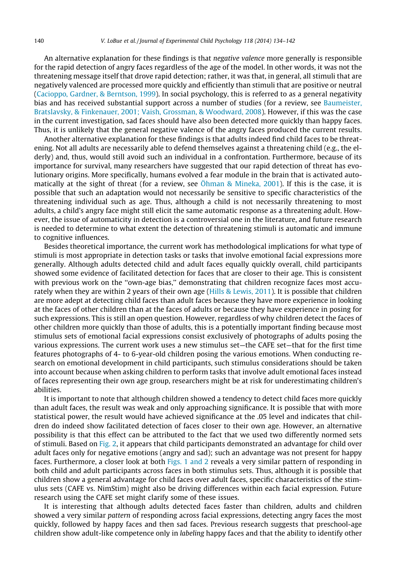An alternative explanation for these findings is that *negative valence* more generally is responsible for the rapid detection of angry faces regardless of the age of the model. In other words, it was not the threatening message itself that drove rapid detection; rather, it was that, in general, all stimuli that are negatively valenced are processed more quickly and efficiently than stimuli that are positive or neutral ([Cacioppo, Gardner, & Berntson, 1999\)](#page-7-0). In social psychology, this is referred to as a general negativity bias and has received substantial support across a number of studies (for a review, see [Baumeister,](#page-7-0) [Bratslavsky, & Finkenauer, 2001; Vaish, Grossman, & Woodward, 2008](#page-7-0)). However, if this was the case in the current investigation, sad faces should have also been detected more quickly than happy faces. Thus, it is unlikely that the general negative valence of the angry faces produced the current results.

Another alternative explanation for these findings is that adults indeed find child faces to be threatening. Not all adults are necessarily able to defend themselves against a threatening child (e.g., the elderly) and, thus, would still avoid such an individual in a confrontation. Furthermore, because of its importance for survival, many researchers have suggested that our rapid detection of threat has evolutionary origins. More specifically, humans evolved a fear module in the brain that is activated automatically at the sight of threat (for a review, see [Öhman & Mineka, 2001\)](#page-8-0). If this is the case, it is possible that such an adaptation would not necessarily be sensitive to specific characteristics of the threatening individual such as age. Thus, although a child is not necessarily threatening to most adults, a child's angry face might still elicit the same automatic response as a threatening adult. However, the issue of automaticity in detection is a controversial one in the literature, and future research is needed to determine to what extent the detection of threatening stimuli is automatic and immune to cognitive influences.

Besides theoretical importance, the current work has methodological implications for what type of stimuli is most appropriate in detection tasks or tasks that involve emotional facial expressions more generally. Although adults detected child and adult faces equally quickly overall, child participants showed some evidence of facilitated detection for faces that are closer to their age. This is consistent with previous work on the "own-age bias," demonstrating that children recognize faces most accurately when they are within 2 years of their own age [\(Hills & Lewis, 2011\)](#page-7-0). It is possible that children are more adept at detecting child faces than adult faces because they have more experience in looking at the faces of other children than at the faces of adults or because they have experience in posing for such expressions. This is still an open question. However, regardless of why children detect the faces of other children more quickly than those of adults, this is a potentially important finding because most stimulus sets of emotional facial expressions consist exclusively of photographs of adults posing the various expressions. The current work uses a new stimulus set—the CAFE set—that for the first time features photographs of 4- to 6-year-old children posing the various emotions. When conducting research on emotional development in child participants, such stimulus considerations should be taken into account because when asking children to perform tasks that involve adult emotional faces instead of faces representing their own age group, researchers might be at risk for underestimating children's abilities.

It is important to note that although children showed a tendency to detect child faces more quickly than adult faces, the result was weak and only approaching significance. It is possible that with more statistical power, the result would have achieved significance at the .05 level and indicates that children do indeed show facilitated detection of faces closer to their own age. However, an alternative possibility is that this effect can be attributed to the fact that we used two differently normed sets of stimuli. Based on [Fig. 2,](#page-4-0) it appears that child participants demonstrated an advantage for child over adult faces only for negative emotions (angry and sad); such an advantage was not present for happy faces. Furthermore, a closer look at both [Figs. 1 and 2](#page-3-0) reveals a very similar pattern of responding in both child and adult participants across faces in both stimulus sets. Thus, although it is possible that children show a general advantage for child faces over adult faces, specific characteristics of the stimulus sets (CAFE vs. NimStim) might also be driving differences within each facial expression. Future research using the CAFE set might clarify some of these issues.

It is interesting that although adults detected faces faster than children, adults and children showed a very similar pattern of responding across facial expressions, detecting angry faces the most quickly, followed by happy faces and then sad faces. Previous research suggests that preschool-age children show adult-like competence only in labeling happy faces and that the ability to identify other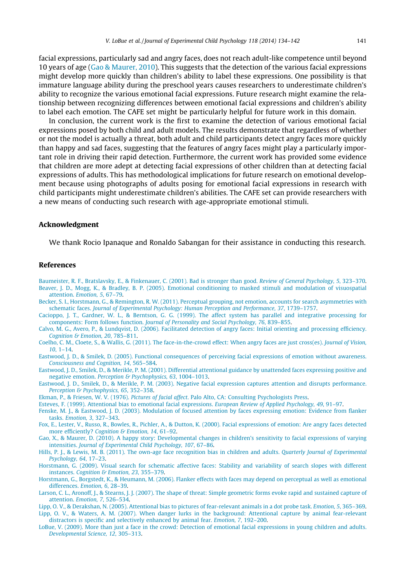<span id="page-7-0"></span>facial expressions, particularly sad and angry faces, does not reach adult-like competence until beyond 10 years of age (Gao & Maurer, 2010). This suggests that the detection of the various facial expressions might develop more quickly than children's ability to label these expressions. One possibility is that immature language ability during the preschool years causes researchers to underestimate children's ability to recognize the various emotional facial expressions. Future research might examine the relationship between recognizing differences between emotional facial expressions and children's ability to label each emotion. The CAFE set might be particularly helpful for future work in this domain.

In conclusion, the current work is the first to examine the detection of various emotional facial expressions posed by both child and adult models. The results demonstrate that regardless of whether or not the model is actually a threat, both adult and child participants detect angry faces more quickly than happy and sad faces, suggesting that the features of angry faces might play a particularly important role in driving their rapid detection. Furthermore, the current work has provided some evidence that children are more adept at detecting facial expressions of other children than at detecting facial expressions of adults. This has methodological implications for future research on emotional development because using photographs of adults posing for emotional facial expressions in research with child participants might underestimate children's abilities. The CAFE set can provide researchers with a new means of conducting such research with age-appropriate emotional stimuli.

#### Acknowledgment

We thank Rocio Ipanaque and Ronaldo Sabangan for their assistance in conducting this research.

# References

- [Baumeister, R. F., Bratslavsky, E., & Finkenauer, C. \(2001\). Bad is stronger than good.](http://refhub.elsevier.com/S0022-0965(13)00151-3/h0005) Review of General Psychology, 5, 323–370. [Beaver, J. D., Mogg, K., & Bradley, B. P. \(2005\). Emotional conditioning to masked stimuli and modulation of visuospatial](http://refhub.elsevier.com/S0022-0965(13)00151-3/h0010) attention. [Emotion, 5](http://refhub.elsevier.com/S0022-0965(13)00151-3/h0010), 67–79.
- [Becker, S. I., Horstmann, G., & Remington, R. W. \(2011\). Perceptual grouping, not emotion, accounts for search asymmetries with](http://refhub.elsevier.com/S0022-0965(13)00151-3/h0015) schematic faces. [Journal of Experimental Psychology: Human Perception and Performance, 37](http://refhub.elsevier.com/S0022-0965(13)00151-3/h0015), 1739–1757.
- [Cacioppo, J. T., Gardner, W. L., & Berntson, G. G. \(1999\). The affect system has parallel and integrative processing for](http://refhub.elsevier.com/S0022-0965(13)00151-3/h0020) components: Form follows function. [Journal of Personality and Social Psychology, 76](http://refhub.elsevier.com/S0022-0965(13)00151-3/h0020), 839–855.
- [Calvo, M. G., Avero, P., & Lundqvist, D. \(2006\). Facilitated detection of angry faces: Initial orienting and processing efficiency.](http://refhub.elsevier.com/S0022-0965(13)00151-3/h0025) [Cognition & Emotion, 20](http://refhub.elsevier.com/S0022-0965(13)00151-3/h0025), 785–811.
- [Coelho, C. M., Cloete, S., & Wallis, G. \(2011\). The face-in-the-crowd effect: When angry faces are just cross\(es\).](http://refhub.elsevier.com/S0022-0965(13)00151-3/h0030) Journal of Vision, 10[, 1–14](http://refhub.elsevier.com/S0022-0965(13)00151-3/h0030).
- [Eastwood, J. D., & Smilek, D. \(2005\). Functional consequences of perceiving facial expressions of emotion without awareness.](http://refhub.elsevier.com/S0022-0965(13)00151-3/h0035) [Consciousness and Cognition, 14](http://refhub.elsevier.com/S0022-0965(13)00151-3/h0035), 565–584.
- [Eastwood, J. D., Smilek, D., & Merikle, P. M. \(2001\). Differential attentional guidance by unattended faces expressing positive and](http://refhub.elsevier.com/S0022-0965(13)00151-3/h0040) negative emotion. [Perception & Psychophysics, 63](http://refhub.elsevier.com/S0022-0965(13)00151-3/h0040), 1004–1013.
- [Eastwood, J. D., Smilek, D., & Merikle, P. M. \(2003\). Negative facial expression captures attention and disrupts performance.](http://refhub.elsevier.com/S0022-0965(13)00151-3/h0045) [Perception & Psychophysics, 65](http://refhub.elsevier.com/S0022-0965(13)00151-3/h0045), 352–358.
- Ekman, P., & Friesen, W. V. (1976). Pictures of facial affect[. Palo Alto, CA: Consulting Psychologists Press.](http://refhub.elsevier.com/S0022-0965(13)00151-3/h0050)
- [Esteves, F. \(1999\). Attentional bias to emotional facial expressions.](http://refhub.elsevier.com/S0022-0965(13)00151-3/h0055) European Review of Applied Psychology, 49, 91–97.

[Fenske, M. J., & Eastwood, J. D. \(2003\). Modulation of focused attention by faces expressing emotion: Evidence from flanker](http://refhub.elsevier.com/S0022-0965(13)00151-3/h0060) tasks. [Emotion, 3](http://refhub.elsevier.com/S0022-0965(13)00151-3/h0060), 327–343.

- [Fox, E., Lester, V., Russo, R., Bowles, R., Pichler, A., & Dutton, K. \(2000\). Facial expressions of emotion: Are angry faces detected](http://refhub.elsevier.com/S0022-0965(13)00151-3/h0065) more efficiently? [Cognition & Emotion, 14](http://refhub.elsevier.com/S0022-0965(13)00151-3/h0065), 61-92.
- [Gao, X., & Maurer, D. \(2010\). A happy story: Developmental changes in children's sensitivity to facial expressions of varying](http://refhub.elsevier.com/S0022-0965(13)00151-3/h0070) intensities. [Journal of Experimental Child Psychology, 107](http://refhub.elsevier.com/S0022-0965(13)00151-3/h0070), 67–86.
- [Hills, P. J., & Lewis, M. B. \(2011\). The own-age face recognition bias in children and adults.](http://refhub.elsevier.com/S0022-0965(13)00151-3/h0075) Quarterly Journal of Experimental [Psychology, 64](http://refhub.elsevier.com/S0022-0965(13)00151-3/h0075), 17–23.
- [Horstmann, G. \(2009\). Visual search for schematic affective faces: Stability and variability of search slopes with different](http://refhub.elsevier.com/S0022-0965(13)00151-3/h0080) instances. [Cognition & Emotion, 23](http://refhub.elsevier.com/S0022-0965(13)00151-3/h0080), 355–379.
- [Horstmann, G., Borgstedt, K., & Heumann, M. \(2006\). Flanker effects with faces may depend on perceptual as well as emotional](http://refhub.elsevier.com/S0022-0965(13)00151-3/h0085) [differences.](http://refhub.elsevier.com/S0022-0965(13)00151-3/h0085) Emotion, 6, 28–39.
- [Larson, C. L., Aronoff, J., & Stearns, J. J. \(2007\). The shape of threat: Simple geometric forms evoke rapid and sustained capture of](http://refhub.elsevier.com/S0022-0965(13)00151-3/h0090) attention. [Emotion, 7](http://refhub.elsevier.com/S0022-0965(13)00151-3/h0090), 526–534.
- [Lipp, O. V., & Derakshan, N. \(2005\). Attentional bias to pictures of fear-relevant animals in a dot probe task.](http://refhub.elsevier.com/S0022-0965(13)00151-3/h0095) Emotion, 5, 365–369. [Lipp, O. V., & Waters, A. M. \(2007\). When danger lurks in the background: Attentional capture by animal fear-relevant](http://refhub.elsevier.com/S0022-0965(13)00151-3/h0100) [distractors is specific and selectively enhanced by animal fear.](http://refhub.elsevier.com/S0022-0965(13)00151-3/h0100) Emotion, 7, 192–200.
- [LoBue, V. \(2009\). More than just a face in the crowd: Detection of emotional facial expressions in young children and adults.](http://refhub.elsevier.com/S0022-0965(13)00151-3/h0105) [Developmental Science, 12](http://refhub.elsevier.com/S0022-0965(13)00151-3/h0105), 305–313.